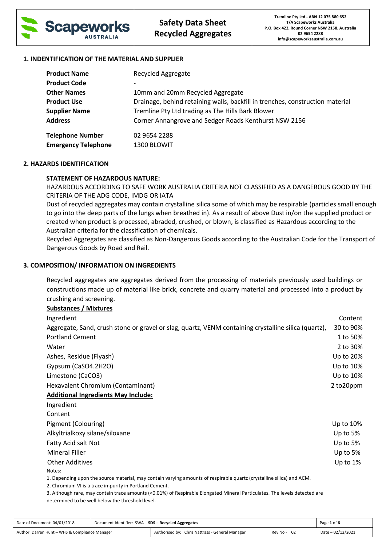

## **1. INDENTIFICATION OF THE MATERIAL AND SUPPLIER**

| <b>Product Name</b>        | Recycled Aggregate                                                            |
|----------------------------|-------------------------------------------------------------------------------|
| <b>Product Code</b>        |                                                                               |
| <b>Other Names</b>         | 10mm and 20mm Recycled Aggregate                                              |
| <b>Product Use</b>         | Drainage, behind retaining walls, backfill in trenches, construction material |
| <b>Supplier Name</b>       | Tremline Pty Ltd trading as The Hills Bark Blower                             |
| <b>Address</b>             | Corner Annangrove and Sedger Roads Kenthurst NSW 2156                         |
| <b>Telephone Number</b>    | 02 9654 2288                                                                  |
| <b>Emergency Telephone</b> | 1300 BLOWIT                                                                   |

## **2. HAZARDS IDENTIFICATION**

## **STATEMENT OF HAZARDOUS NATURE:**

HAZARDOUS ACCORDING TO SAFE WORK AUSTRALIA CRITERIA NOT CLASSIFIED AS A DANGEROUS GOOD BY THE CRITERIA OF THE ADG CODE, IMDG OR IATA

Dust of recycled aggregates may contain crystalline silica some of which may be respirable (particles small enough to go into the deep parts of the lungs when breathed in). As a result of above Dust in/on the supplied product or created when product is processed, abraded, crushed, or blown, is classified as Hazardous according to the Australian criteria for the classification of chemicals.

Recycled Aggregates are classified as Non-Dangerous Goods according to the Australian Code for the Transport of Dangerous Goods by Road and Rail.

### **3. COMPOSITION/ INFORMATION ON INGREDIENTS**

Recycled aggregates are aggregates derived from the processing of materials previously used buildings or constructions made up of material like brick, concrete and quarry material and processed into a product by crushing and screening.

### **Substances / Mixtures**

| Ingredient                                                                                           | Content    |
|------------------------------------------------------------------------------------------------------|------------|
| Aggregate, Sand, crush stone or gravel or slag, quartz, VENM containing crystalline silica (quartz), | 30 to 90%  |
| <b>Portland Cement</b>                                                                               | 1 to 50%   |
| Water                                                                                                | 2 to 30%   |
| Ashes, Residue (Flyash)                                                                              | Up to 20%  |
| Gypsum (CaSO4.2H2O)                                                                                  | Up to 10%  |
| Limestone (CaCO3)                                                                                    | Up to 10%  |
| Hexavalent Chromium (Contaminant)                                                                    | 2 to 20ppm |
| <b>Additional Ingredients May Include:</b>                                                           |            |
| Ingredient                                                                                           |            |
| Content                                                                                              |            |
| Pigment (Colouring)                                                                                  | Up to 10%  |
|                                                                                                      |            |

Alkyltrialkoxy silane/siloxane Up to 5%

Fatty Acid salt Not Up to 5% Mineral Filler **Up to 5%** 

Other Additives **Up to 1%** Up to 1%

Notes:

1. Depending upon the source material, may contain varying amounts of respirable quartz (crystalline silica) and ACM.

2. Chromium VI is a trace impurity in Portland Cement.

3. Although rare, may contain trace amounts (<0.01%) of Respirable Elongated Mineral Particulates. The levels detected are determined to be well below the threshold level.

| Date of Document: 04/01/2018                   | Document Identifier: SWA - SDS - Recycled Aggregates |                                                 |             | Page 1 of 6       |
|------------------------------------------------|------------------------------------------------------|-------------------------------------------------|-------------|-------------------|
| Author: Darren Hunt - WHS & Compliance Manager |                                                      | Authorised by: Chris Nattrass - General Manager | Rev No - 02 | Date - 02/12/2021 |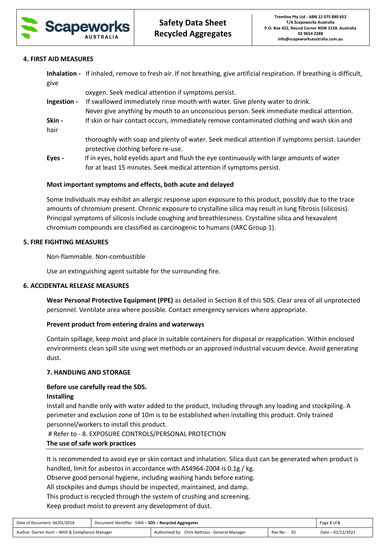

## **4. FIRST AID MEASURES**

|             | Inhalation - If inhaled, remove to fresh air. If not breathing, give artificial respiration. If breathing is difficult, |
|-------------|-------------------------------------------------------------------------------------------------------------------------|
| give        |                                                                                                                         |
|             | oxygen. Seek medical attention if symptoms persist.                                                                     |
| Ingestion - | If swallowed immediately rinse mouth with water. Give plenty water to drink.                                            |
|             | Never give anything by mouth to an unconscious person. Seek immediate medical attention.                                |
| Skin -      | If skin or hair contact occurs, immediately remove contaminated clothing and wash skin and                              |
| hair        |                                                                                                                         |

 thoroughly with soap and plenty of water. Seek medical attention if symptoms persist. Launder protective clothing before re-use.

**Eyes -** If in eyes, hold eyelids apart and flush the eye continuously with large amounts of water for at least 15 minutes. Seek medical attention if symptoms persist.

# **Most important symptoms and effects, both acute and delayed**

Some Individuals may exhibit an allergic response upon exposure to this product, possibly due to the trace amounts of chromium present. Chronic exposure to crystalline silica may result in lung fibrosis (silicosis). Principal symptoms of silicosis include coughing and breathlessness. Crystalline silica and hexavalent chromium compounds are classified as carcinogenic to humans (IARC Group 1).

## **5. FIRE FIGHTING MEASURES**

Non-flammable. Non-combustible

Use an extinguishing agent suitable for the surrounding fire.

### **6. ACCIDENTAL RELEASE MEASURES**

**Wear Personal Protective Equipment (PPE)** as detailed in Section 8 of this SDS. Clear area of all unprotected personnel. Ventilate area where possible. Contact emergency services where appropriate.

### **Prevent product from entering drains and waterways**

Contain spillage, keep moist and place in suitable containers for disposal or reapplication. Within enclosed environments clean spill site using wet methods or an approved industrial vacuum device. Avoid generating dust.

### **7. HANDLING AND STORAGE**

### **Before use carefully read the SDS.**

### **Installing**

Install and handle only with water added to the product, Including through any loading and stockpiling. A perimeter and exclusion zone of 10m is to be established when installing this product. Only trained personnel/workers to install this product.

# Refer to - 8. EXPOSURE CONTROLS/PERSONAL PROTECTION

### **The use of safe work practices**

It is recommended to avoid eye or skin contact and inhalation. Silica dust can be generated when product is handled, limit for asbestos in accordance with AS4964-2004 is 0.1g / kg.

Observe good personal hygiene, including washing hands before eating.

All stockpiles and dumps should be inspected, maintained, and damp.

This product is recycled through the system of crushing and screening.

Keep product moist to prevent any development of dust.

| Date of Document: 04/01/2018                   | Document Identifier: SWA - SDS - Recycled Aggregates |                                                 |             | Page 2 of 6       |
|------------------------------------------------|------------------------------------------------------|-------------------------------------------------|-------------|-------------------|
| Author: Darren Hunt - WHS & Compliance Manager |                                                      | Authorised by: Chris Nattrass - General Manager | Rev No - 02 | Date - 02/12/2021 |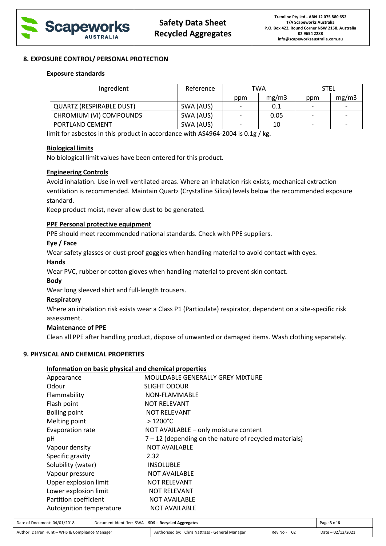

## **8. EXPOSURE CONTROL/ PERSONAL PROTECTION**

## **Exposure standards**

| Ingredient               | Reference | TWA |       | <b>STEL</b> |       |
|--------------------------|-----------|-----|-------|-------------|-------|
|                          |           | ppm | mg/m3 | ppm         | mg/m3 |
| QUARTZ (RESPIRABLE DUST) | SWA (AUS) |     | 0.1   |             |       |
| CHROMIUM (VI) COMPOUNDS  | SWA (AUS) |     | 0.05  |             |       |
| PORTLAND CEMENT          | SWA (AUS) |     | 10    |             |       |

limit for asbestos in this product in accordance with AS4964-2004 is 0.1g / kg.

## **Biological limits**

No biological limit values have been entered for this product.

## **Engineering Controls**

Avoid inhalation. Use in well ventilated areas. Where an inhalation risk exists, mechanical extraction ventilation is recommended. Maintain Quartz (Crystalline Silica) levels below the recommended exposure standard.

Keep product moist, never allow dust to be generated.

## **PPE Personal protective equipment**

PPE should meet recommended national standards. Check with PPE suppliers.

## **Eye / Face**

Wear safety glasses or dust-proof goggles when handling material to avoid contact with eyes.

### **Hands**

Wear PVC, rubber or cotton gloves when handling material to prevent skin contact.

### **Body**

Wear long sleeved shirt and full-length trousers.

### **Respiratory**

Where an inhalation risk exists wear a Class P1 (Particulate) respirator, dependent on a site-specific risk assessment.

# **Maintenance of PPE**

Clean all PPE after handling product, dispose of unwanted or damaged items. Wash clothing separately.

# **9. PHYSICAL AND CHEMICAL PROPERTIES**

### **Information on basic physical and chemical properties**

| Appearance               | MOULDABLE GENERALLY GREY MIXTURE                         |
|--------------------------|----------------------------------------------------------|
| Odour                    | <b>SLIGHT ODOUR</b>                                      |
| Flammability             | NON-FLAMMABLE                                            |
| Flash point              | <b>NOT RELEVANT</b>                                      |
| Boiling point            | <b>NOT RELEVANT</b>                                      |
| Melting point            | $>1200^{\circ}$ C                                        |
| Evaporation rate         | NOT AVAILABLE - only moisture content                    |
| рH                       | $7 - 12$ (depending on the nature of recycled materials) |
| Vapour density           | <b>NOT AVAILABLE</b>                                     |
| Specific gravity         | 2.32                                                     |
| Solubility (water)       | <b>INSOLUBLE</b>                                         |
| Vapour pressure          | <b>NOT AVAILABLE</b>                                     |
| Upper explosion limit    | <b>NOT RELEVANT</b>                                      |
| Lower explosion limit    | <b>NOT RELEVANT</b>                                      |
| Partition coefficient    | <b>NOT AVAILABLE</b>                                     |
| Autoignition temperature | <b>NOT AVAILABLE</b>                                     |

| Date of Document: 04/01/2018                   | Document Identifier: SWA - SDS - Recycled Aggregates |                                                 |             | Page 3 of 6       |
|------------------------------------------------|------------------------------------------------------|-------------------------------------------------|-------------|-------------------|
| Author: Darren Hunt - WHS & Compliance Manager |                                                      | Authorised by: Chris Nattrass - General Manager | Rev No - 02 | Date - 02/12/2021 |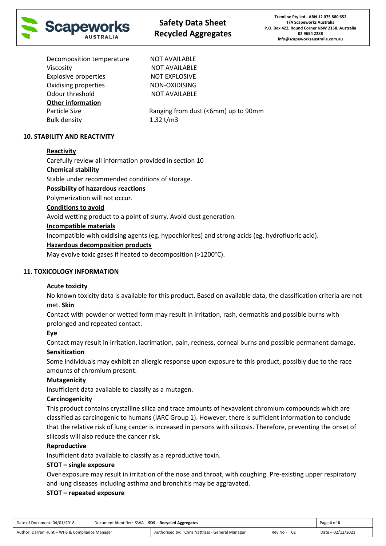

Decomposition temperature NOT AVAILABLE Viscosity NOT AVAILABLE Explosive properties NOT EXPLOSIVE Oxidising properties NON-OXIDISING Odour threshold NOT AVAILABLE **Other information** Bulk density 1.32 t/m3

Particle Size Ranging from dust (<6mm) up to 90mm

# **10. STABILITY AND REACTIVITY**

# **Reactivity**

Carefully review all information provided in section 10

# **Chemical stability**

Stable under recommended conditions of storage.

# **Possibility of hazardous reactions**

Polymerization will not occur.

# **Conditions to avoid**

Avoid wetting product to a point of slurry. Avoid dust generation.

# **Incompatible materials**

Incompatible with oxidising agents (eg. hypochlorites) and strong acids (eg. hydrofluoric acid).

# **Hazardous decomposition products**

May evolve toxic gases if heated to decomposition (>1200°C).

# **11. TOXICOLOGY INFORMATION**

# **Acute toxicity**

No known toxicity data is available for this product. Based on available data, the classification criteria are not met. **Skin**

Contact with powder or wetted form may result in irritation, rash, dermatitis and possible burns with prolonged and repeated contact.

# **Eye**

Contact may result in irritation, lacrimation, pain, redness, corneal burns and possible permanent damage.

# **Sensitization**

Some individuals may exhibit an allergic response upon exposure to this product, possibly due to the race amounts of chromium present.

# **Mutagenicity**

Insufficient data available to classify as a mutagen.

# **Carcinogenicity**

This product contains crystalline silica and trace amounts of hexavalent chromium compounds which are classified as carcinogenic to humans (IARC Group 1). However, there is sufficient information to conclude that the relative risk of lung cancer is increased in persons with silicosis. Therefore, preventing the onset of silicosis will also reduce the cancer risk.

# **Reproductive**

Insufficient data available to classify as a reproductive toxin.

# **STOT – single exposure**

Over exposure may result in irritation of the nose and throat, with coughing. Pre-existing upper respiratory and lung diseases including asthma and bronchitis may be aggravated.

# **STOT – repeated exposure**

| Date of Document: 04/01/2018                   | Document Identifier: SWA - SDS - Recycled Aggregates |                                                 |             | Page 4 of 6       |
|------------------------------------------------|------------------------------------------------------|-------------------------------------------------|-------------|-------------------|
| Author: Darren Hunt - WHS & Compliance Manager |                                                      | Authorised by: Chris Nattrass - General Manager | Rev No - 02 | Date - 02/12/2021 |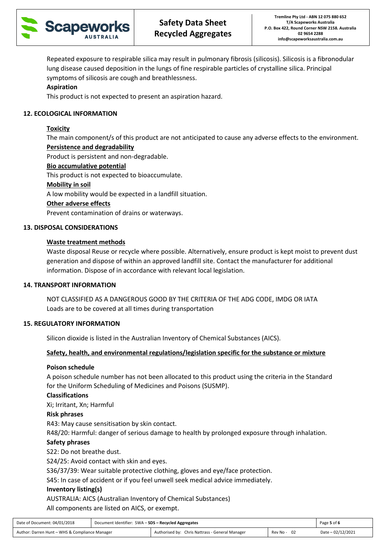

Repeated exposure to respirable silica may result in pulmonary fibrosis (silicosis). Silicosis is a fibronodular lung disease caused deposition in the lungs of fine respirable particles of crystalline silica. Principal symptoms of silicosis are cough and breathlessness.

# **Aspiration**

This product is not expected to present an aspiration hazard.

# **12. ECOLOGICAL INFORMATION**

# **Toxicity**

The main component/s of this product are not anticipated to cause any adverse effects to the environment. **Persistence and degradability**

Product is persistent and non-degradable.

# **Bio accumulative potential**

This product is not expected to bioaccumulate.

# **Mobility in soil**

A low mobility would be expected in a landfill situation.

# **Other adverse effects**

Prevent contamination of drains or waterways.

# **13. DISPOSAL CONSIDERATIONS**

# **Waste treatment methods**

Waste disposal Reuse or recycle where possible. Alternatively, ensure product is kept moist to prevent dust generation and dispose of within an approved landfill site. Contact the manufacturer for additional information. Dispose of in accordance with relevant local legislation.

# **14. TRANSPORT INFORMATION**

NOT CLASSIFIED AS A DANGEROUS GOOD BY THE CRITERIA OF THE ADG CODE, IMDG OR IATA Loads are to be covered at all times during transportation

# **15. REGULATORY INFORMATION**

Silicon dioxide is listed in the Australian Inventory of Chemical Substances (AICS).

# **Safety, health, and environmental regulations/legislation specific for the substance or mixture**

# **Poison schedule**

A poison schedule number has not been allocated to this product using the criteria in the Standard for the Uniform Scheduling of Medicines and Poisons (SUSMP).

# **Classifications**

Xi; Irritant, Xn; Harmful

# **Risk phrases**

R43: May cause sensitisation by skin contact.

R48/20: Harmful: danger of serious damage to health by prolonged exposure through inhalation.

# **Safety phrases**

S22: Do not breathe dust.

S24/25: Avoid contact with skin and eyes.

S36/37/39: Wear suitable protective clothing, gloves and eye/face protection.

S45: In case of accident or if you feel unwell seek medical advice immediately.

# **Inventory listing(s)**

AUSTRALIA: AICS (Australian Inventory of Chemical Substances)

All components are listed on AICS, or exempt.

| Date of Document: 04/01/2018                   | Document Identifier: SWA - SDS - Recycled Aggregates |                                                 |             | Page 5 of 6       |
|------------------------------------------------|------------------------------------------------------|-------------------------------------------------|-------------|-------------------|
| Author: Darren Hunt - WHS & Compliance Manager |                                                      | Authorised by: Chris Nattrass - General Manager | Rev No - 02 | Date - 02/12/2021 |